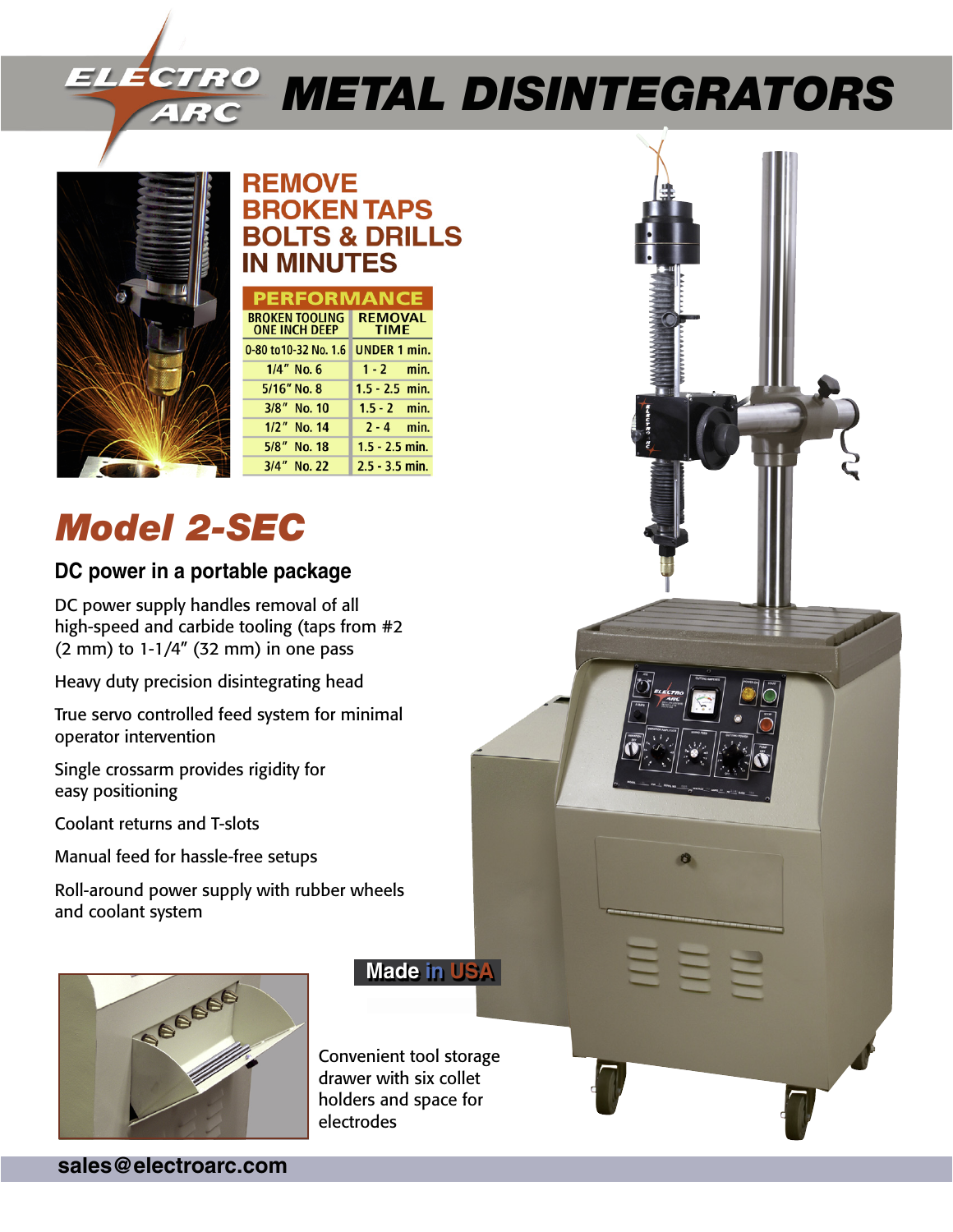# *Metal Disintegrators*



### **REMOVE BROKEN TAPS BOLTS & DRILLS IN MINUTES**

| <b>PERFORMANCE</b>                            |                               |
|-----------------------------------------------|-------------------------------|
| <b>BROKEN TOOLING</b><br><b>ONE INCH DEEP</b> | <b>REMOVAL</b><br><b>TIME</b> |
| 0-80 to 10-32 No. 1.6                         | <b>UNDER 1 min.</b>           |
| $1/4''$ No. 6                                 | $1 - 2$ min.                  |
| $5/16''$ No. 8                                | $1.5 - 2.5$ min.              |
| 3/8" No. 10                                   | $1.5 - 2$ min.                |
| 1/2" No. 14                                   | $2 - 4$ min.                  |
| 5/8"<br>No. 18                                | $1.5 - 2.5$ min.              |
| 3/4" No. 22                                   | $2.5 - 3.5$ min.              |

## *Model 2-SEC*

### **DC power in a portable package**

DC power supply handles removal of all high-speed and carbide tooling (taps from #2 (2 mm) to 1-1/4" (32 mm) in one pass

Heavy duty precision disintegrating head

True servo controlled feed system for minimal operator intervention

Single crossarm provides rigidity for easy positioning

Coolant returns and T-slots

Manual feed for hassle-free setups

Roll-around power supply with rubber wheels and coolant system



**Made in USA**

Convenient tool storage drawer with six collet holders and space for electrodes

**sales@electroarc.com**